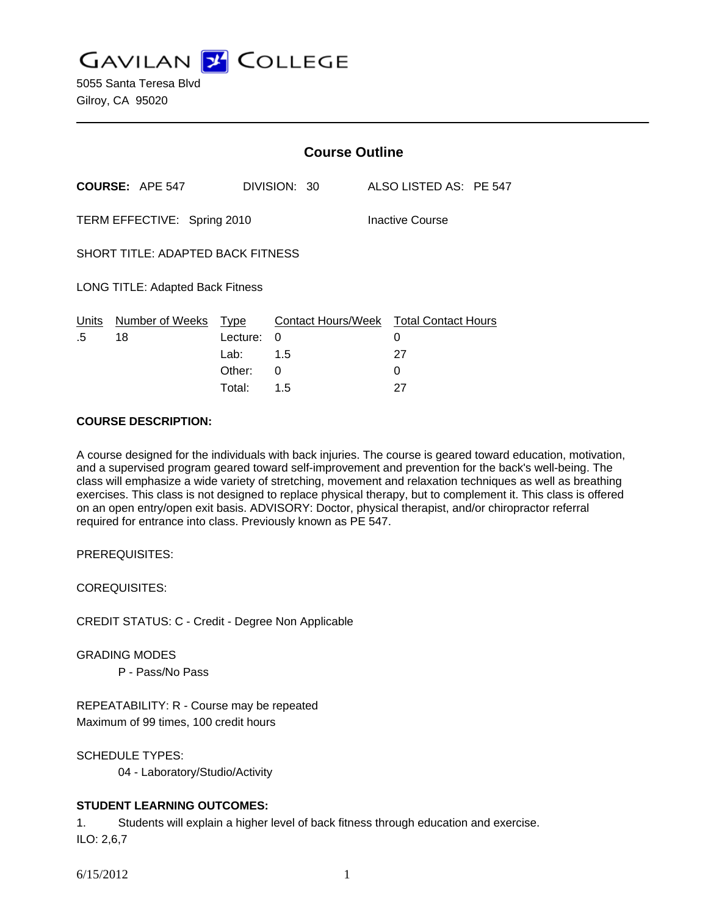**GAVILAN Z COLLEGE** 

5055 Santa Teresa Blvd Gilroy, CA 95020

|                                          |                        | <b>Course Outline</b> |              |                 |                                        |  |
|------------------------------------------|------------------------|-----------------------|--------------|-----------------|----------------------------------------|--|
|                                          | <b>COURSE: APE 547</b> |                       | DIVISION: 30 |                 | ALSO LISTED AS: PE 547                 |  |
| TERM EFFECTIVE: Spring 2010              |                        |                       |              | Inactive Course |                                        |  |
| <b>SHORT TITLE: ADAPTED BACK FITNESS</b> |                        |                       |              |                 |                                        |  |
| LONG TITLE: Adapted Back Fitness         |                        |                       |              |                 |                                        |  |
| Units<br>.5                              | Number of Weeks<br>18  | Type<br>Lecture:      | 0            | 0               | Contact Hours/Week Total Contact Hours |  |
|                                          |                        | Lab:                  | 1.5          | 27              |                                        |  |
|                                          |                        | Other:                | 0            | 0               |                                        |  |
|                                          |                        | Total:                | 1.5          | 27              |                                        |  |

#### **COURSE DESCRIPTION:**

A course designed for the individuals with back injuries. The course is geared toward education, motivation, and a supervised program geared toward self-improvement and prevention for the back's well-being. The class will emphasize a wide variety of stretching, movement and relaxation techniques as well as breathing exercises. This class is not designed to replace physical therapy, but to complement it. This class is offered on an open entry/open exit basis. ADVISORY: Doctor, physical therapist, and/or chiropractor referral required for entrance into class. Previously known as PE 547.

PREREQUISITES:

COREQUISITES:

CREDIT STATUS: C - Credit - Degree Non Applicable

GRADING MODES

P - Pass/No Pass

REPEATABILITY: R - Course may be repeated Maximum of 99 times, 100 credit hours

SCHEDULE TYPES:

04 - Laboratory/Studio/Activity

#### **STUDENT LEARNING OUTCOMES:**

1. Students will explain a higher level of back fitness through education and exercise. ILO: 2,6,7

6/15/2012 1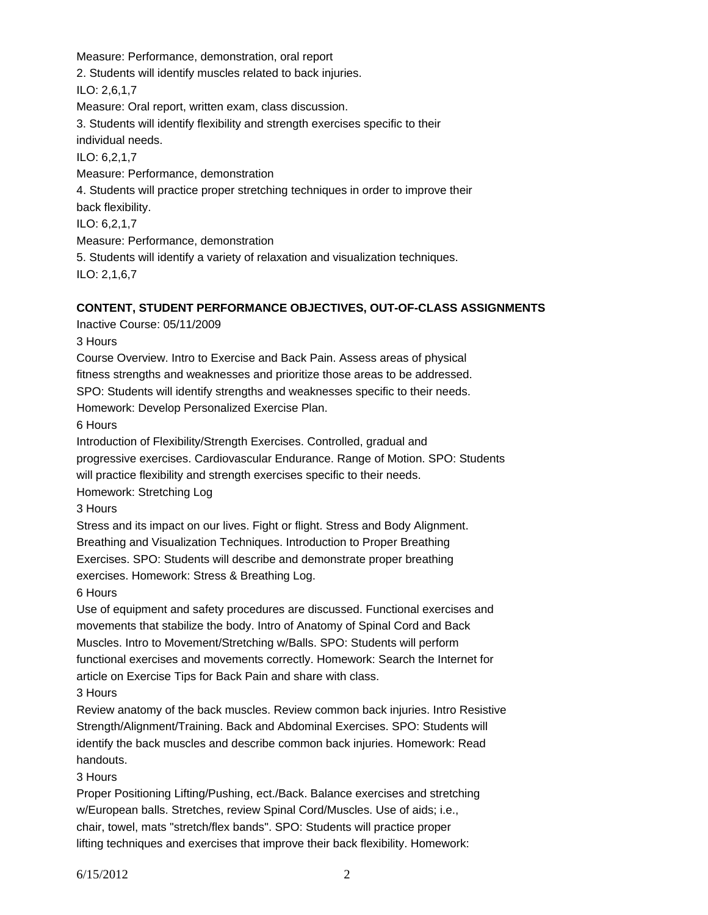Measure: Performance, demonstration, oral report

2. Students will identify muscles related to back injuries.

ILO: 2,6,1,7

Measure: Oral report, written exam, class discussion.

3. Students will identify flexibility and strength exercises specific to their individual needs.

ILO: 6,2,1,7

Measure: Performance, demonstration

4. Students will practice proper stretching techniques in order to improve their

back flexibility.

ILO: 6,2,1,7

Measure: Performance, demonstration

5. Students will identify a variety of relaxation and visualization techniques.

ILO: 2,1,6,7

# **CONTENT, STUDENT PERFORMANCE OBJECTIVES, OUT-OF-CLASS ASSIGNMENTS**

Inactive Course: 05/11/2009

3 Hours

Course Overview. Intro to Exercise and Back Pain. Assess areas of physical fitness strengths and weaknesses and prioritize those areas to be addressed.

SPO: Students will identify strengths and weaknesses specific to their needs.

Homework: Develop Personalized Exercise Plan.

6 Hours

Introduction of Flexibility/Strength Exercises. Controlled, gradual and

progressive exercises. Cardiovascular Endurance. Range of Motion. SPO: Students

will practice flexibility and strength exercises specific to their needs.

Homework: Stretching Log

3 Hours

Stress and its impact on our lives. Fight or flight. Stress and Body Alignment.

Breathing and Visualization Techniques. Introduction to Proper Breathing

Exercises. SPO: Students will describe and demonstrate proper breathing exercises. Homework: Stress & Breathing Log.

6 Hours

Use of equipment and safety procedures are discussed. Functional exercises and movements that stabilize the body. Intro of Anatomy of Spinal Cord and Back Muscles. Intro to Movement/Stretching w/Balls. SPO: Students will perform functional exercises and movements correctly. Homework: Search the Internet for article on Exercise Tips for Back Pain and share with class.

3 Hours

Review anatomy of the back muscles. Review common back injuries. Intro Resistive Strength/Alignment/Training. Back and Abdominal Exercises. SPO: Students will identify the back muscles and describe common back injuries. Homework: Read handouts.

3 Hours

Proper Positioning Lifting/Pushing, ect./Back. Balance exercises and stretching w/European balls. Stretches, review Spinal Cord/Muscles. Use of aids; i.e., chair, towel, mats "stretch/flex bands". SPO: Students will practice proper lifting techniques and exercises that improve their back flexibility. Homework: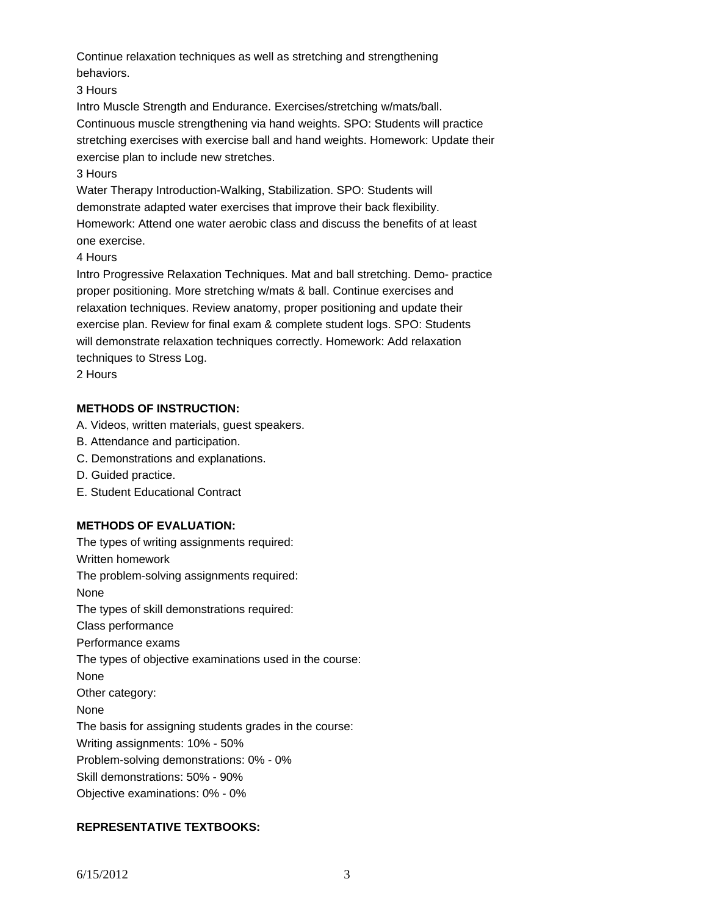Continue relaxation techniques as well as stretching and strengthening behaviors.

3 Hours

Intro Muscle Strength and Endurance. Exercises/stretching w/mats/ball. Continuous muscle strengthening via hand weights. SPO: Students will practice stretching exercises with exercise ball and hand weights. Homework: Update their exercise plan to include new stretches.

### 3 Hours

Water Therapy Introduction-Walking, Stabilization. SPO: Students will demonstrate adapted water exercises that improve their back flexibility. Homework: Attend one water aerobic class and discuss the benefits of at least one exercise.

4 Hours

Intro Progressive Relaxation Techniques. Mat and ball stretching. Demo- practice proper positioning. More stretching w/mats & ball. Continue exercises and relaxation techniques. Review anatomy, proper positioning and update their exercise plan. Review for final exam & complete student logs. SPO: Students will demonstrate relaxation techniques correctly. Homework: Add relaxation techniques to Stress Log.

2 Hours

## **METHODS OF INSTRUCTION:**

A. Videos, written materials, guest speakers.

- B. Attendance and participation.
- C. Demonstrations and explanations.
- D. Guided practice.
- E. Student Educational Contract

## **METHODS OF EVALUATION:**

The types of writing assignments required: Written homework The problem-solving assignments required: None The types of skill demonstrations required: Class performance Performance exams The types of objective examinations used in the course: None Other category: None The basis for assigning students grades in the course: Writing assignments: 10% - 50% Problem-solving demonstrations: 0% - 0% Skill demonstrations: 50% - 90% Objective examinations: 0% - 0%

## **REPRESENTATIVE TEXTBOOKS:**